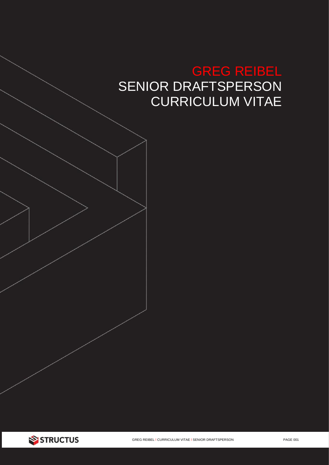# GREG REIBEL SENIOR DRAFTSPERSON CURRICULUM VITAE

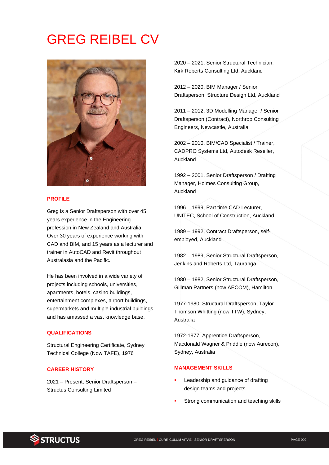# GREG REIBEL CV



#### **PROFILE**

Greg is a Senior Draftsperson with over 45 years experience in the Engineering profession in New Zealand and Australia. Over 30 years of experience working with CAD and BIM, and 15 years as a lecturer and trainer in AutoCAD and Revit throughout Australasia and the Pacific.

He has been involved in a wide variety of projects including schools, universities, apartments, hotels, casino buildings, entertainment complexes, airport buildings, supermarkets and multiple industrial buildings and has amassed a vast knowledge base.

#### **QUALIFICATIONS**

Structural Engineering Certificate, Sydney Technical College (Now TAFE), 1976

## **CAREER HISTORY**

2021 – Present, Senior Draftsperson – Structus Consulting Limited

2020 – 2021, Senior Structural Technician, Kirk Roberts Consulting Ltd, Auckland

2012 – 2020, BIM Manager / Senior Draftsperson, Structure Design Ltd, Auckland

2011 – 2012, 3D Modelling Manager / Senior Draftsperson (Contract), Northrop Consulting Engineers, Newcastle, Australia

2002 – 2010, BIM/CAD Specialist / Trainer, CADPRO Systems Ltd, Autodesk Reseller, Auckland

1992 – 2001, Senior Draftsperson / Drafting Manager, Holmes Consulting Group, Auckland

1996 – 1999, Part time CAD Lecturer, UNITEC, School of Construction, Auckland

1989 – 1992, Contract Draftsperson, selfemployed, Auckland

1982 – 1989, Senior Structural Draftsperson, Jenkins and Roberts Ltd, Tauranga

1980 – 1982, Senior Structural Draftsperson, Gillman Partners (now AECOM), Hamilton

1977-1980, Structural Draftsperson, Taylor Thomson Whitting (now TTW), Sydney, Australia

1972-1977, Apprentice Draftsperson, Macdonald Wagner & Priddle (now Aurecon), Sydney, Australia

#### **MANAGEMENT SKILLS**

- Leadership and guidance of drafting design teams and projects
- Strong communication and teaching skills

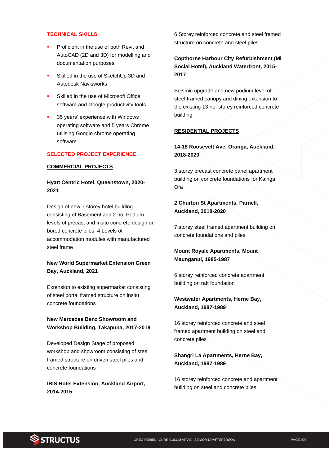#### **TECHNICAL SKILLS**

- Proficient in the use of both Revit and AutoCAD (2D and 3D) for modelling and documentation purposes
- Skilled in the use of SketchUp 3D and Autodesk Navisworks
- Skilled in the use of Microsoft Office software and Google productivity tools
- 35 years' experience with Windows operating software and 5 years Chrome utilising Google chrome operating software

### **SELECTED PROJECT EXPERIENCE**

#### **COMMERCIAL PROJECTS**

## **Hyatt Centric Hotel, Queenstown, 2020- 2021**

Design of new 7 storey hotel building consisting of Basement and 2 no. Podium levels of precast and insitu concrete design on bored concrete piles, 4 Levels of accommodation modules with manufactured steel frame

# **New World Supermarket Extension Green Bay, Auckland, 2021**

Extension to existing supermarket consisting of steel portal framed structure on insitu concrete foundations

## **New Mercedes Benz Showroom and Workshop Building, Takapuna, 2017-2019**

Developed Design Stage of proposed workshop and showroom consisting of steel framed structure on driven steel piles and concrete foundations

**IBIS Hotel Extension, Auckland Airport, 2014-2015**

6 Storey reinforced concrete and steel framed structure on concrete and steel piles

**Copthorne Harbour City Refurbishment (Mi Social Hotel), Auckland Waterfront, 2015- 2017**

Seismic upgrade and new podium level of steel framed canopy and dining extension to the existing 13 no. storey reinforced concrete building

#### **RESIDENTIAL PROJECTS**

**14-18 Roosevelt Ave, Oranga, Auckland, 2018-2020**

3 storey precast concrete panel apartment building on concrete foundations for Kainga Ora

## **2 Churton St Apartments, Parnell, Auckland, 2018-2020**

7 storey steel framed apartment building on concrete foundations and piles

# **Mount Royale Apartments, Mount Maunganui, 1985-1987**

6 storey reinforced concrete apartment building on raft foundation

## **Westwater Apartments, Herne Bay, Auckland, 1987-1989**

16 storey reinforced concrete and steel framed apartment building on steel and concrete piles

## **Shangri La Apartments, Herne Bay, Auckland, 1987-1989**

16 storey reinforced concrete and apartment building on steel and concrete piles

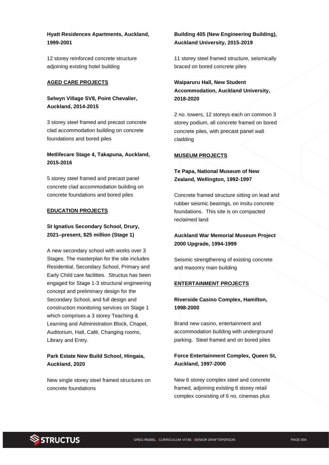**Hyatt Residences Apartments, Auckland, 1999-2001**

12 storey reinforced concrete structure adjoining existing hotel building

#### **AGED CARE PROJECTS**

**Selwyn Village SV8, Point Chevalier, Auckland, 2014-2015**

3 storey steel framed and precast concrete clad accommodation building on concrete foundations and bored piles

### **Metlifecare Stage 4, Takapuna, Auckland, 2015-2016**

5 storey steel framed and precast panel concrete clad accommodation building on concrete foundations and bored piles

#### **EDUCATION PROJECTS**

# **St Ignatius Secondary School, Drury, 2021–present, \$25 million (Stage 1)**

A new secondary school with works over 3 Stages. The masterplan for the site includes Residential, Secondary School, Primary and Early Child care facilities. Structus has been engaged for Stage 1-3 structural engineering concept and preliminary design for the Secondary School, and full design and construction monitoring services on Stage 1 which comprises a 3 storey Teaching & Learning and Administration Block, Chapel, Auditorium, Hall, Café, Changing rooms, Library and Entry.

# **Park Estate New Build School, Hingaia, Auckland, 2020**

New single storey steel framed structures on concrete foundations

# **Building 405 (New Engineering Building), Auckland University, 2015-2019**

11 storey steel framed structure, seismically braced on bored concrete piles

# **Waiparuru Hall, New Student Accommodation, Auckland University, 2018-2020**

2 no. towers, 12 storeys each on common 3 storey podium, all concrete framed on bored concrete piles, with precast panel wall cladding

#### **MUSEUM PROJECTS**

# **Te Papa, National Museum of New Zealand, Wellington, 1992-1997**

Concrete framed structure sitting on lead and rubber seismic bearings, on insitu concrete foundations. This site is on compacted reclaimed land

## **Auckland War Memorial Museum Project 2000 Upgrade, 1994-1999**

Seismic strengthening of existing concrete and masonry main building

#### **ENTERTAINMENT PROJECTS**

## **Riverside Casino Complex, Hamilton, 1998-2000**

Brand new casino, entertainment and accommodation building with underground parking. Steel framed and on bored piles

# **Force Entertainment Complex, Queen St, Auckland, 1997-2000**

New 6 storey complex steel and concrete framed, adjoining existing 6 storey retail complex consisting of 6 no. cinemas plus

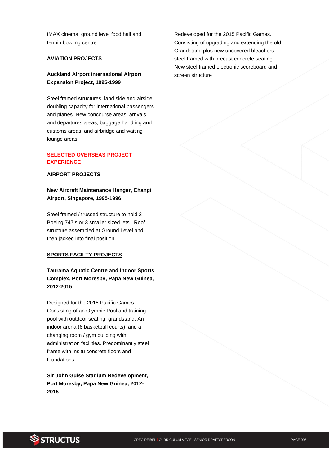IMAX cinema, ground level food hall and tenpin bowling centre

#### **AVIATION PROJECTS**

#### **Auckland Airport International Airport Expansion Project, 1995-1999**

Steel framed structures, land side and airside, doubling capacity for international passengers and planes. New concourse areas, arrivals and departures areas, baggage handling and customs areas, and airbridge and waiting lounge areas

#### **SELECTED OVERSEAS PROJECT EXPERIENCE**

#### **AIRPORT PROJECTS**

# **New Aircraft Maintenance Hanger, Changi Airport, Singapore, 1995-1996**

Steel framed / trussed structure to hold 2 Boeing 747's or 3 smaller sized jets. Roof structure assembled at Ground Level and then jacked into final position

#### **SPORTS FACILTY PROJECTS**

# **Taurama Aquatic Centre and Indoor Sports Complex, Port Moresby, Papa New Guinea, 2012-2015**

Designed for the 2015 Pacific Games. Consisting of an Olympic Pool and training pool with outdoor seating, grandstand. An indoor arena (6 basketball courts), and a changing room / gym building with administration facilities. Predominantly steel frame with insitu concrete floors and foundations

**Sir John Guise Stadium Redevelopment, Port Moresby, Papa New Guinea, 2012- 2015**

Redeveloped for the 2015 Pacific Games. Consisting of upgrading and extending the old Grandstand plus new uncovered bleachers steel framed with precast concrete seating. New steel framed electronic scoreboard and screen structure